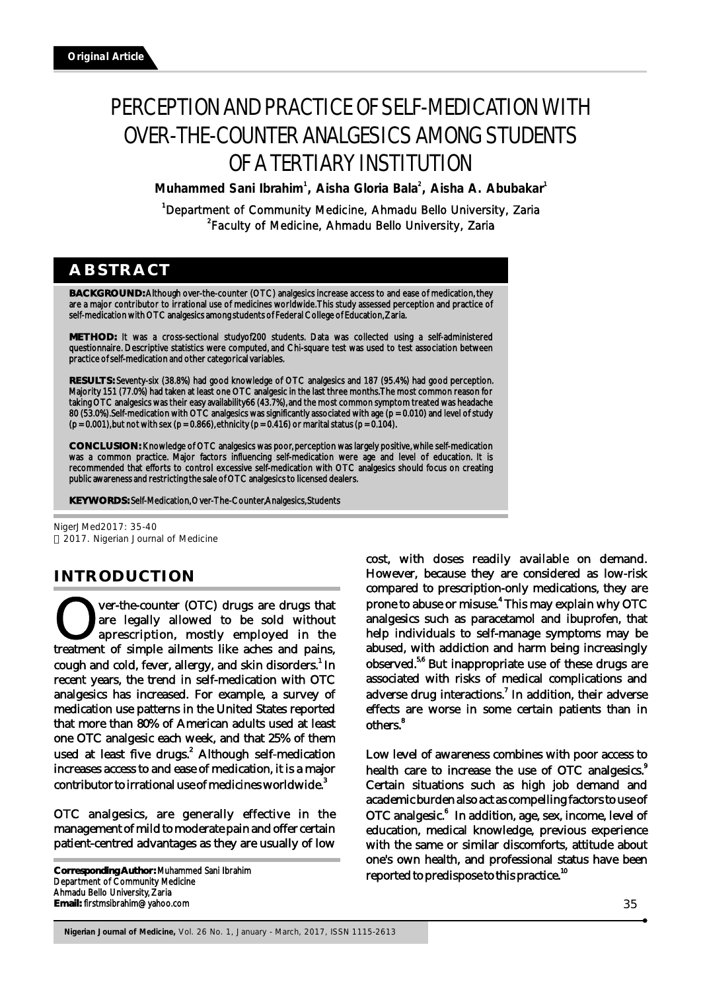# PERCEPTION AND PRACTICE OF SELF-MEDICATION WITH OVER-THE-COUNTER ANALGESICS AMONG STUDENTS OF A TERTIARY INSTITUTION

**Muhammed Sani Ibrahim , Aisha Gloria Bala , Aisha A. Abubakar <sup>1</sup> <sup>2</sup> <sup>1</sup>**

<sup>1</sup>Department of Community Medicine, Ahmadu Bello University, Zaria <sup>2</sup> Faculty of Medicine, Ahmadu Bello University, Zaria

# **ABSTRACT**

**BACKGROUND:** Although over-the-counter (OTC) analgesics increase access to and ease of medication, they are a major contributor to irrational use of medicines worldwide. This study assessed perception and practice of self-medication with OTC analgesics among students of Federal College of Education, Zaria.

**METHOD:** It was a cross-sectional studyof200 students. Data was collected using a self-administered questionnaire. Descriptive statistics were computed, and Chi-square test was used to test association between practice of self-medication and other categorical variables.

**RESULTS:** Seventy-six (38.8%) had good knowledge of OTC analgesics and 187 (95.4%) had good perception. Majority 151 (77.0%) had taken at least one OTC analgesic in the last three months. The most common reason for taking OTC analgesics was their easy availability66 (43.7%), and the most common symptom treated was headache 80 (53.0%).Self-medication with OTC analgesics was significantly associated with age (p = 0.010) and level of study (p = 0.001), but not with sex (p = 0.866), ethnicity (p = 0.416) or marital status (p = 0.104).

**CONCLUSION:** Knowledge of OTC analgesics was poor, perception was largely positive, while self-medication was a common practice. Major factors influencing self-medication were age and level of education. It is recommended that efforts to control excessive self-medication with OTC analgesics should focus on creating public awareness and restricting the sale of OTC analgesics to licensed dealers.

**KEYWORDS:** Self-Medication, Over-The-Counter, Analgesics, Students

NigerJMed2017: 35-40 2017. Nigerian Journal of Medicine

# **INTRODUCTION**

**Wer-the-counter (OTC) drugs are drugs that** are legally allowed to be sold without aprescription, mostly employed in the treatment of simple ailments like aches and pains, aprescription, mostly employed in the cough and cold, fever, allergy, and skin disorders.<sup>1</sup> In recent years, the trend in self-medication with OTC analgesics has increased. For example, a survey of medication use patterns in the United States reported that more than 80% of American adults used at least one OTC analgesic each week, and that 25% of them used at least five drugs.<sup>2</sup> Although self-medication increases access to and ease of medication, it is a major contributor to irrational use of medicines worldwide. $^{\rm 3}$ 

OTC analgesics, are generally effective in the management of mild to moderate pain and offer certain patient-centred advantages as they are usually of low

cost, with doses readily available on demand. However, because they are considered as low-risk compared to prescription-only medications, they are prone to abuse or misuse.<sup>4</sup> This may explain why OTC analgesics such as paracetamol and ibuprofen, that help individuals to self-manage symptoms may be abused, with addiction and harm being increasingly observed.<sup>5,6</sup> But inappropriate use of these drugs are associated with risks of medical complications and adverse drug interactions.<sup>7</sup> In addition, their adverse effects are worse in some certain patients than in others.<sup>8</sup>

Low level of awareness combines with poor access to health care to increase the use of OTC analgesics.<sup>9</sup> Certain situations such as high job demand and academic burden also act as compelling factors to use of OTC analgesic.<sup>6</sup> In addition, age, sex, income, level of education, medical knowledge, previous experience with the same or similar discomforts, attitude about one's own health, and professional status have been reported to predispose to this practice.<sup>10</sup>

**Corresponding Author:** Muhammed Sani Ibrahim Department of Community Medicine Ahmadu Bello University, Zaria **Email:** firstmsibrahim@yahoo.com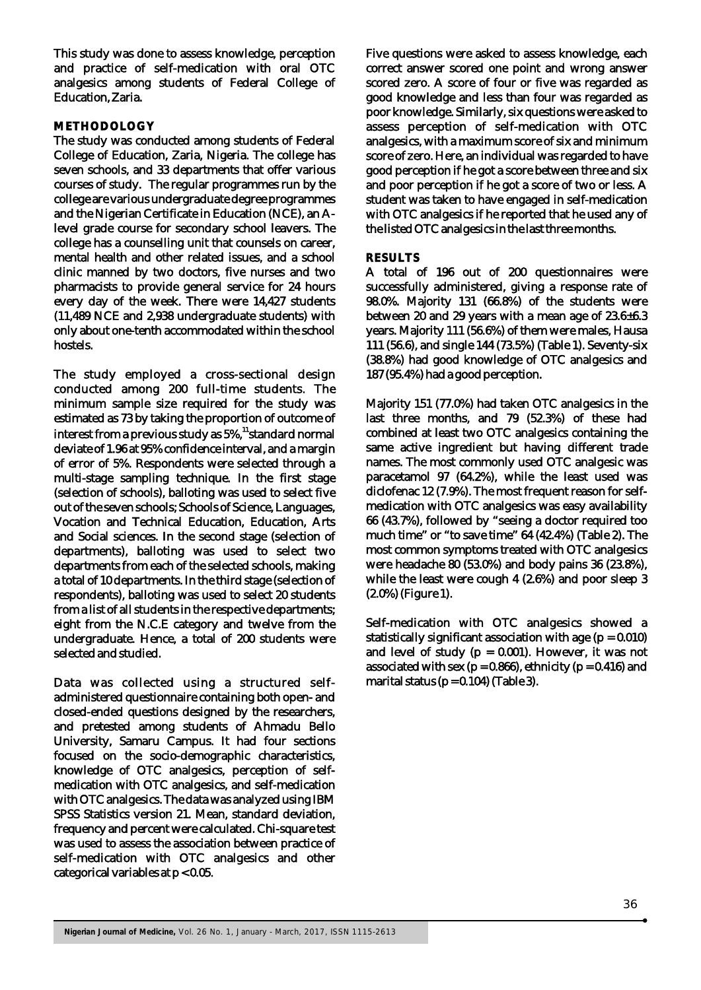This study was done to assess knowledge, perception and practice of self-medication with oral OTC analgesics among students of Federal College of Education, Zaria.

## **METHODOLOGY**

The study was conducted among students of Federal College of Education, Zaria, Nigeria. The college has seven schools, and 33 departments that offer various courses of study. The regular programmes run by the college are various undergraduate degree programmes and the Nigerian Certificate in Education (NCE), an Alevel grade course for secondary school leavers. The college has a counselling unit that counsels on career, mental health and other related issues, and a school clinic manned by two doctors, five nurses and two pharmacists to provide general service for 24 hours every day of the week. There were 14,427 students (11,489 NCE and 2,938 undergraduate students) with only about one-tenth accommodated within the school hostels.

The study employed a cross-sectional design conducted among 200 full-time students. The minimum sample size required for the study was estimated as 73 by taking the proportion of outcome of interest from a previous study as  $5\%$ ,  $\frac{11}{1}$ standard normal deviate of 1.96 at 95% confidence interval, and a margin of error of 5%. Respondents were selected through a multi-stage sampling technique. In the first stage (selection of schools), balloting was used to select five out of the seven schools; Schools of Science, Languages, Vocation and Technical Education, Education, Arts and Social sciences. In the second stage (selection of departments), balloting was used to select two departments from each of the selected schools, making a total of 10 departments. In the third stage (selection of respondents), balloting was used to select 20 students from a list of all students in the respective departments; eight from the N.C.E category and twelve from the undergraduate. Hence, a total of 200 students were selected and studied.

Data was collected using a structured selfadministered questionnaire containing both open- and closed-ended questions designed by the researchers, and pretested among students of Ahmadu Bello University, Samaru Campus. It had four sections focused on the socio-demographic characteristics, knowledge of OTC analgesics, perception of selfmedication with OTC analgesics, and self-medication with OTC analgesics. The data was analyzed using IBM SPSS Statistics version 21. Mean, standard deviation, frequency and percent were calculated. Chi-square test was used to assess the association between practice of self-medication with OTC analgesics and other categorical variables at p < 0.05.

Five questions were asked to assess knowledge, each correct answer scored one point and wrong answer scored zero. A score of four or five was regarded as good knowledge and less than four was regarded as poor knowledge. Similarly, six questions were asked to assess perception of self-medication with OTC analgesics, with a maximum score of six and minimum score of zero. Here, an individual was regarded to have good perception if he got a score between three and six and poor perception if he got a score of two or less. A student was taken to have engaged in self-medication with OTC analgesics if he reported that he used any of the listed OTC analgesics in the last three months.

## **RESULTS**

A total of 196 out of 200 questionnaires were successfully administered, giving a response rate of 98.0%. Majority 131 (66.8%) of the students were between 20 and 29 years with a mean age of 23.6±6.3 years. Majority 111 (56.6%) of them were males, Hausa 111 (56.6), and single 144 (73.5%) (Table 1). Seventy-six (38.8%) had good knowledge of OTC analgesics and 187 (95.4%) had a good perception.

Majority 151 (77.0%) had taken OTC analgesics in the last three months, and 79 (52.3%) of these had combined at least two OTC analgesics containing the same active ingredient but having different trade names. The most commonly used OTC analgesic was paracetamol 97 (64.2%), while the least used was diclofenac 12 (7.9%). The most frequent reason for selfmedication with OTC analgesics was easy availability 66 (43.7%), followed by "seeing a doctor required too much time" or "to save time" 64 (42.4%) (Table 2). The most common symptoms treated with OTC analgesics were headache 80 (53.0%) and body pains 36 (23.8%), while the least were cough 4 (2.6%) and poor sleep 3 (2.0%) (Figure 1).

Self-medication with OTC analgesics showed a statistically significant association with age  $(p = 0.010)$ and level of study  $(p = 0.001)$ . However, it was not associated with sex  $(p = 0.866)$ , ethnicity  $(p = 0.416)$  and marital status ( $p = 0.104$ ) (Table 3).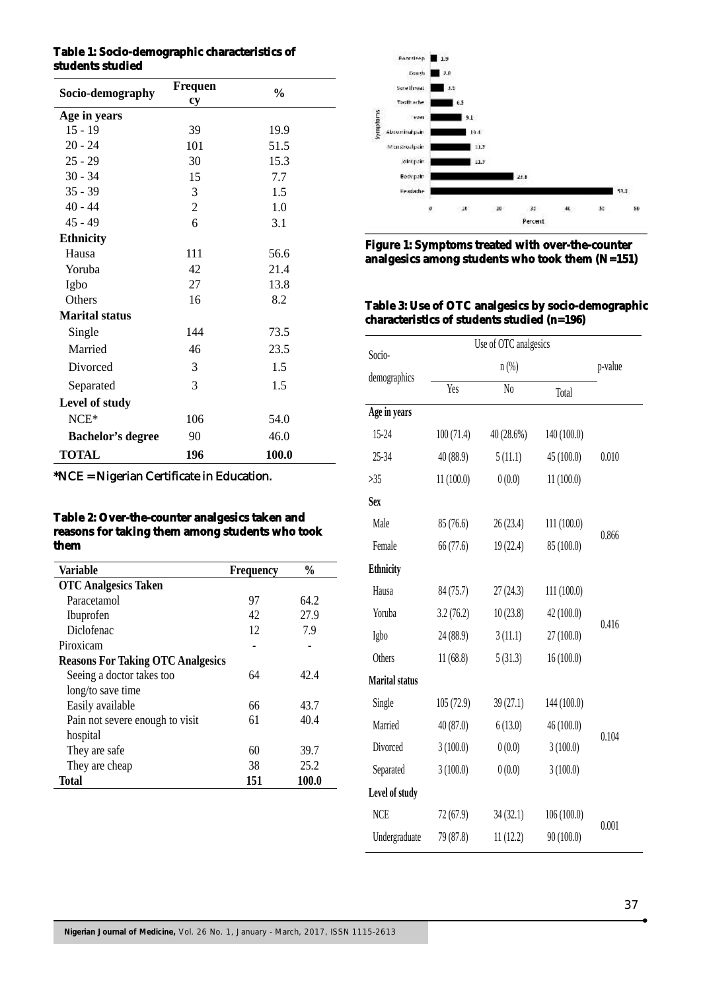| Socio-demography         | Frequen<br>cy | $\frac{0}{0}$ |
|--------------------------|---------------|---------------|
| Age in years             |               |               |
| $15 - 19$                | 39            | 19.9          |
| $20 - 24$                | 101           | 51.5          |
| $25 - 29$                | 30            | 15.3          |
| $30 - 34$                | 15            | 7.7           |
| $35 - 39$                | 3             | 1.5           |
| $40 - 44$                | 2             | 1.0           |
| $45 - 49$                | 6             | 3.1           |
| <b>Ethnicity</b>         |               |               |
| Hausa                    | 111           | 56.6          |
| Yoruba                   | 42            | 21.4          |
| Igbo                     | 27            | 13.8          |
| Others                   | 16            | 8.2           |
| <b>Marital status</b>    |               |               |
| Single                   | 144           | 73.5          |
| Married                  | 46            | 23.5          |
| Divorced                 | 3             | 1.5           |
| Separated                | 3             | 1.5           |
| Level of study           |               |               |
| $NCE*$                   | 106           | 54.0          |
| <b>Bachelor's degree</b> | 90            | 46.0          |
| <b>TOTAL</b>             | 196           | 100.0         |

**Table 1: Socio-demographic characteristics of students studied**

\*NCE = Nigerian Certificate in Education.

**Table 2: Over-the-counter analgesics taken and reasons for taking them among students who took them**

| Variable                                 | <b>Frequency</b> | $\frac{0}{0}$ |
|------------------------------------------|------------------|---------------|
| <b>OTC</b> Analgesics Taken              |                  |               |
| Paracetamol                              | 97               | 64.2          |
| Ibuprofen                                | 42               | 27.9          |
| Diclofenac                               | 12               | 7.9           |
| Piroxicam                                |                  |               |
| <b>Reasons For Taking OTC Analgesics</b> |                  |               |
| Seeing a doctor takes too                | 64               | 42.4          |
| long/to save time                        |                  |               |
| Easily available                         | 66               | 43.7          |
| Pain not severe enough to visit          | 61               | 40.4          |
| hospital                                 |                  |               |
| They are safe                            | 60               | 39.7          |
| They are cheap                           | 38               | 25.2          |
| Total                                    | 151              | 100.0         |



**Figure 1: Symptoms treated with over-the-counter analgesics among students who took them (N=151)**

### **Table 3: Use of OTC analgesics by socio-demographic characteristics of students studied (n=196)**

| Socio-                |            | Use of OTC analgesics |             |         |
|-----------------------|------------|-----------------------|-------------|---------|
| demographics          |            | $n(\%)$               |             | p-value |
|                       | Yes        | N <sub>0</sub>        | Total       |         |
| Age in years          |            |                       |             |         |
| 15-24                 | 100(71.4)  | 40(28.6%)             | 140 (100.0) |         |
| 25-34                 | 40(88.9)   | 5(11.1)               | 45 (100.0)  | 0.010   |
| >35                   | 11(100.0)  | 0(0.0)                | 11(100.0)   |         |
| <b>Sex</b>            |            |                       |             |         |
| Male                  | 85 (76.6)  | 26(23.4)              | 111 (100.0) | 0.866   |
| Female                | 66 (77.6)  | 19 (22.4)             | 85 (100.0)  |         |
| <b>Ethnicity</b>      |            |                       |             |         |
| Hausa                 | 84 (75.7)  | 27(24.3)              | 111 (100.0) |         |
| Yoruba                | 3.2(76.2)  | 10(23.8)              | 42 (100.0)  | 0.416   |
| Igbo                  | 24 (88.9)  | 3(11.1)               | 27(100.0)   |         |
| Others                | 11(68.8)   | 5(31.3)               | 16(100.0)   |         |
| <b>Marital status</b> |            |                       |             |         |
| Single                | 105 (72.9) | 39(27.1)              | 144 (100.0) |         |
| Married               | 40(87.0)   | 6(13.0)               | 46 (100.0)  | 0.104   |
| Divorced              | 3(100.0)   | 0(0.0)                | 3(100.0)    |         |
| Separated             | 3(100.0)   | 0(0.0)                | 3(100.0)    |         |
| Level of study        |            |                       |             |         |
| <b>NCE</b>            | 72(67.9)   | 34(32.1)              | 106 (100.0) | 0.001   |
| Undergraduate         | 79 (87.8)  | 11(12.2)              | 90(100.0)   |         |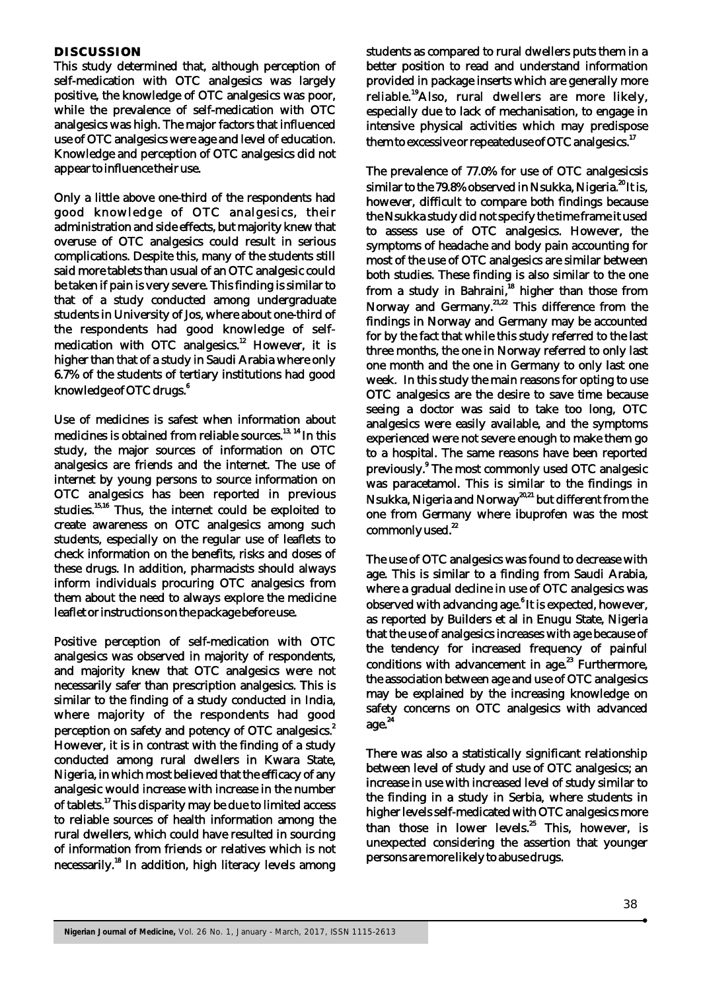#### **DISCUSSION**

This study determined that, although perception of self-medication with OTC analgesics was largely positive, the knowledge of OTC analgesics was poor, while the prevalence of self-medication with OTC analgesics was high. The major factors that influenced use of OTC analgesics were age and level of education. Knowledge and perception of OTC analgesics did not appear to influence their use.

Only a little above one-third of the respondents had good knowledge of OTC analgesics, their administration and side effects, but majority knew that overuse of OTC analgesics could result in serious complications. Despite this, many of the students still said more tablets than usual of an OTC analgesic could be taken if pain is very severe. This finding is similar to that of a study conducted among undergraduate students in University of Jos, where about one-third of the respondents had good knowledge of selfmedication with OTC analgesics.<sup>12</sup> However, it is higher than that of a study in Saudi Arabia where only 6.7% of the students of tertiary institutions had good 6 knowledge of OTC drugs.

Use of medicines is safest when information about medicines is obtained from reliable sources.<sup>13, 14</sup> In this study, the major sources of information on OTC analgesics are friends and the internet. The use of internet by young persons to source information on OTC analgesics has been reported in previous studies. $15,16$  Thus, the internet could be exploited to create awareness on OTC analgesics among such students, especially on the regular use of leaflets to check information on the benefits, risks and doses of these drugs. In addition, pharmacists should always inform individuals procuring OTC analgesics from them about the need to always explore the medicine leaflet or instructions on the package before use.

Positive perception of self-medication with OTC analgesics was observed in majority of respondents, and majority knew that OTC analgesics were not necessarily safer than prescription analgesics. This is similar to the finding of a study conducted in India, where majority of the respondents had good perception on safety and potency of OTC analgesics.<sup>2</sup> However, it is in contrast with the finding of a study conducted among rural dwellers in Kwara State, Nigeria, in which most believed that the efficacy of any analgesic would increase with increase in the number of tablets.<sup>17</sup> This disparity may be due to limited access to reliable sources of health information among the rural dwellers, which could have resulted in sourcing of information from friends or relatives which is not necessarily.<sup>18</sup> In addition, high literacy levels among students as compared to rural dwellers puts them in a better position to read and understand information provided in package inserts which are generally more reliable.<sup>19</sup>Also, rural dwellers are more likely, especially due to lack of mechanisation, to engage in intensive physical activities which may predispose them to excessive or repeateduse of OTC analgesics.<sup>17</sup>

The prevalence of 77.0% for use of OTC analgesicsis similar to the 79.8% observed in Nsukka, Nigeria.<sup>20</sup> It is, however, difficult to compare both findings because the Nsukka study did not specify the time frame it used to assess use of OTC analgesics. However, the symptoms of headache and body pain accounting for most of the use of OTC analgesics are similar between both studies. These finding is also similar to the one from a study in Bahraini,<sup>18</sup> higher than those from Norway and Germany.<sup>21,22</sup> This difference from the findings in Norway and Germany may be accounted for by the fact that while this study referred to the last three months, the one in Norway referred to only last one month and the one in Germany to only last one week. In this study the main reasons for opting to use OTC analgesics are the desire to save time because seeing a doctor was said to take too long, OTC analgesics were easily available, and the symptoms experienced were not severe enough to make them go to a hospital. The same reasons have been reported previously.<sup>9</sup> The most commonly used OTC analgesic was paracetamol. This is similar to the findings in Nsukka, Nigeria and Norway<sup>20,21</sup> but different from the one from Germany where ibuprofen was the most commonly used.<sup>22</sup>

The use of OTC analgesics was found to decrease with age. This is similar to a finding from Saudi Arabia, where a gradual decline in use of OTC analgesics was observed with advancing age.<sup>6</sup> It is expected, however, as reported by Builders et al in Enugu State, Nigeria that the use of analgesics increases with age because of the tendency for increased frequency of painful conditions with advancement in age. $23$  Furthermore, the association between age and use of OTC analgesics may be explained by the increasing knowledge on safety concerns on OTC analgesics with advanced  $age.<sup>24</sup>$ 

There was also a statistically significant relationship between level of study and use of OTC analgesics; an increase in use with increased level of study similar to the finding in a study in Serbia, where students in higher levels self-medicated with OTC analgesics more than those in lower levels.<sup>25</sup> This, however, is unexpected considering the assertion that younger persons are more likely to abuse drugs.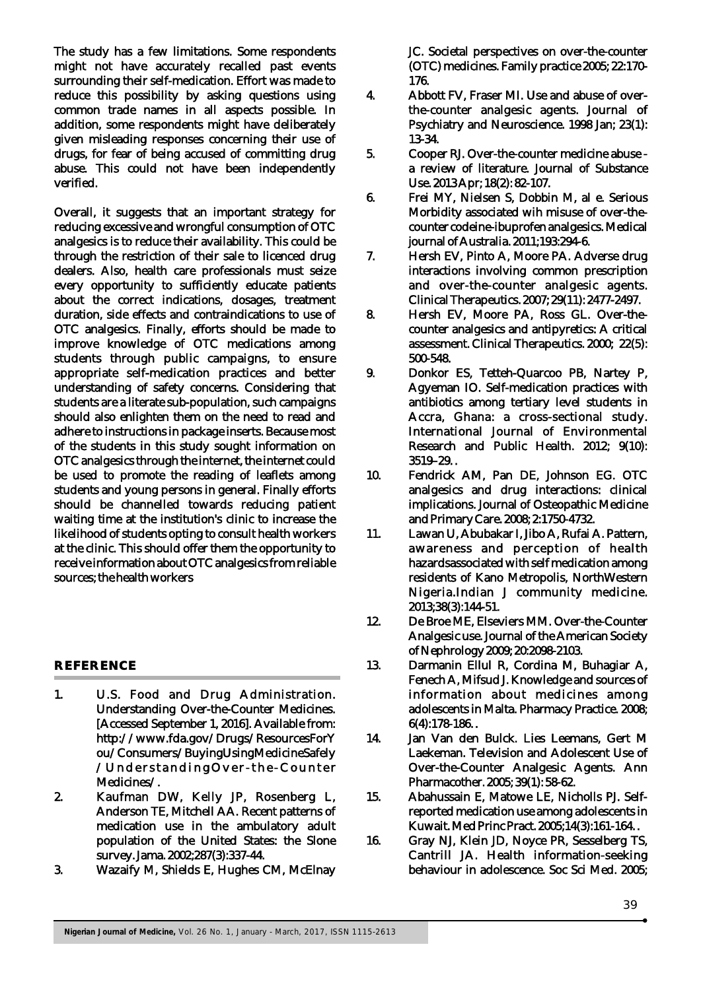The study has a few limitations. Some respondents might not have accurately recalled past events surrounding their self-medication. Effort was made to reduce this possibility by asking questions using common trade names in all aspects possible. In addition, some respondents might have deliberately given misleading responses concerning their use of drugs, for fear of being accused of committing drug abuse. This could not have been independently verified.

Overall, it suggests that an important strategy for reducing excessive and wrongful consumption of OTC analgesics is to reduce their availability. This could be through the restriction of their sale to licenced drug dealers. Also, health care professionals must seize every opportunity to sufficiently educate patients about the correct indications, dosages, treatment duration, side effects and contraindications to use of OTC analgesics. Finally, efforts should be made to improve knowledge of OTC medications among students through public campaigns, to ensure appropriate self-medication practices and better understanding of safety concerns. Considering that students are a literate sub-population, such campaigns should also enlighten them on the need to read and adhere to instructions in package inserts. Because most of the students in this study sought information on OTC analgesics through the internet, the internet could be used to promote the reading of leaflets among students and young persons in general. Finally efforts should be channelled towards reducing patient waiting time at the institution's clinic to increase the likelihood of students opting to consult health workers at the clinic. This should offer them the opportunity to receive information about OTC analgesics from reliable sources; the health workers

### **REFERENCE**

- 1. U.S. Food and Drug Administration. Understanding Over-the-Counter Medicines. [Accessed September 1, 2016]. Available from: http://www.fda.gov/Drugs/ResourcesForY ou/Consumers/BuyingUsingMedicineSafely / Understanding Over-the-Counter Medicines/.
- 2. Kaufman DW, Kelly JP, Rosenberg L, Anderson TE, Mitchell AA. Recent patterns of medication use in the ambulatory adult population of the United States: the Slone survey. Jama. 2002;287(3):337-44.
- 3. Wazaify M, Shields E, Hughes CM, McElnay

JC. Societal perspectives on over-the-counter (OTC) medicines. Family practice 2005; 22:170- 176.

- 4. Abbott FV, Fraser MI. Use and abuse of overthe-counter analgesic agents. Journal of Psychiatry and Neuroscience. 1998 Jan; 23(1): 13-34.
- 5. Cooper RJ. Over-the-counter medicine abuse a review of literature. Journal of Substance Use. 2013 Apr; 18(2): 82-107.
- 6. Frei MY, Nielsen S, Dobbin M, al e. Serious Morbidity associated wih misuse of over-thecounter codeine-ibuprofen analgesics. Medical journal of Australia. 2011;193:294-6.
- 7. Hersh EV, Pinto A, Moore PA. Adverse drug interactions involving common prescription and over-the-counter analgesic agents. Clinical Therapeutics. 2007; 29(11): 2477-2497.
- 8. Hersh EV, Moore PA, Ross GL. Over-thecounter analgesics and antipyretics: A critical assessment. Clinical Therapeutics. 2000; 22(5): 500-548.
- 9. Donkor ES, Tetteh-Quarcoo PB, Nartey P, Agyeman IO. Self-medication practices with antibiotics among tertiary level students in Accra, Ghana: a cross-sectional study. International Journal of Environmental Research and Public Health. 2012; 9(10): 3519–29. .
- 10. Fendrick AM, Pan DE, Johnson EG. OTC analgesics and drug interactions: clinical implications. Journal of Osteopathic Medicine and Primary Care. 2008; 2:1750-4732.
- 11. Lawan U, Abubakar I, Jibo A, Rufai A. Pattern, awareness and perception of health hazardsassociated with self medication among residents of Kano Metropolis, NorthWestern Nigeria.Indian J community medicine. 2013;38(3):144-51.
- 12. De Broe ME, Elseviers MM. Over-the-Counter Analgesic use. Journal of the American Society of Nephrology 2009; 20:2098-2103.
- 13. Darmanin Ellul R, Cordina M, Buhagiar A, Fenech A, Mifsud J. Knowledge and sources of information about medicines among adolescents in Malta. Pharmacy Practice. 2008; 6(4):178-186. .
- 14. Jan Van den Bulck. Lies Leemans, Gert M Laekeman. Television and Adolescent Use of Over-the-Counter Analgesic Agents. Ann Pharmacother. 2005; 39(1): 58-62.
- 15. Abahussain E, Matowe LE, Nicholls PJ. Selfreported medication use among adolescents in Kuwait. Med Princ Pract. 2005;14(3):161-164. .
- 16. Gray NJ, Klein JD, Noyce PR, Sesselberg TS, Cantrill JA. Health information-seeking behaviour in adolescence. Soc Sci Med. 2005;